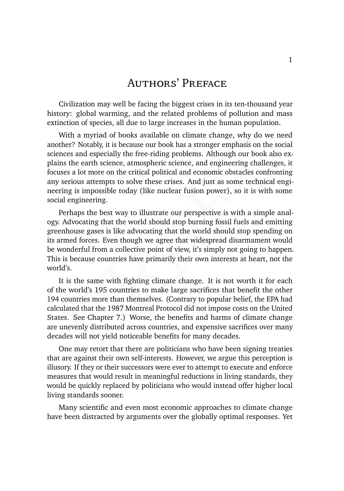# Authors' Preface

Civilization may well be facing the biggest crises in its ten-thousand year history: global warming, and the related problems of pollution and mass extinction of species, all due to large increases in the human population.

With a myriad of books available on climate change, why do we need<br>ther? Notably, it is because our book has a stronger emphasis on the social<br>neces and especially the free-riding problems. Although our book also ex-<br>ns th With a myriad of books available on climate change, why do we need another? Notably, it is because our book has a stronger emphasis on the social sciences and especially the free-riding problems. Although our book also explains the earth science, atmospheric science, and engineering challenges, it focuses a lot more on the critical political and economic obstacles confronting any serious attempts to solve these crises. And just as some technical engineering is impossible today (like nuclear fusion power), so it is with some social engineering.

Perhaps the best way to illustrate our perspective is with a simple analogy. Advocating that the world should stop burning fossil fuels and emitting greenhouse gases is like advocating that the world should stop spending on its armed forces. Even though we agree that widespread disarmament would be wonderful from a collective point of view, it's simply not going to happen. This is because countries have primarily their own interests at heart, not the world's.

It is the same with fighting climate change. It is not worth it for each of the world's 195 countries to make large sacrifices that benefit the other 194 countries more than themselves. (Contrary to popular belief, the EPA had calculated that the 1987 Montreal Protocol did not impose costs on the United States. See Chapter 7.) Worse, the benefits and harms of climate change are unevenly distributed across countries, and expensive sacrifices over many decades will not yield noticeable benefits for many decades.

One may retort that there are politicians who have been signing treaties that are against their own self-interests. However, we argue this perception is illusory. If they or their successors were ever to attempt to execute and enforce measures that would result in meaningful reductions in living standards, they would be quickly replaced by politicians who would instead offer higher local living standards sooner.

Many scientific and even most economic approaches to climate change have been distracted by arguments over the globally optimal responses. Yet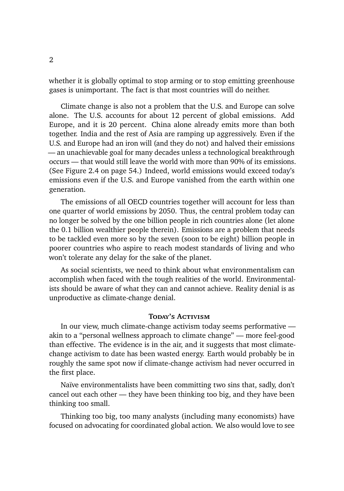whether it is globally optimal to stop arming or to stop emitting greenhouse gases is unimportant. The fact is that most countries will do neither.

Climate change is also not a problem that the U.S. and Europe can solve alone. The U.S. accounts for about 12 percent of global emissions. Add Europe, and it is 20 percent. China alone already emits more than both together. India and the rest of Asia are ramping up aggressively. Even if the U.S. and Europe had an iron will (and they do not) and halved their emissions — an unachievable goal for many decades unless a technological breakthrough occurs — that would still leave the world with more than 90% of its emissions. (See Figure 2.4 on page 54.) Indeed, world emissions would exceed today's emissions even if the U.S. and Europe vanished from the earth within one generation.

The emissions of all OECD countries together will account for less than one quarter of world emissions by 2050. Thus, the central problem today can no longer be solved by the one billion people in rich countries alone (let alone the 0.1 billion wealthier people therein). Emissions are a problem that needs to be tackled even more so by the seven (soon to be eight) billion people in poorer countries who aspire to reach modest standards of living and who won't tolerate any delay for the sake of the planet.

As social scientists, we need to think about what environmentalism can accomplish when faced with the tough realities of the world. Environmentalists should be aware of what they can and cannot achieve. Reality denial is as unproductive as climate-change denial.

## TODAY'S ACTIVISM

In our view, much climate-change activism today seems performative akin to a "personal wellness approach to climate change" — more feel-good than effective. The evidence is in the air, and it suggests that most climatechange activism to date has been wasted energy. Earth would probably be in roughly the same spot now if climate-change activism had never occurred in the first place.

Naïve environmentalists have been committing two sins that, sadly, don't cancel out each other — they have been thinking too big, and they have been thinking too small.

Thinking too big, too many analysts (including many economists) have focused on advocating for coordinated global action. We also would love to see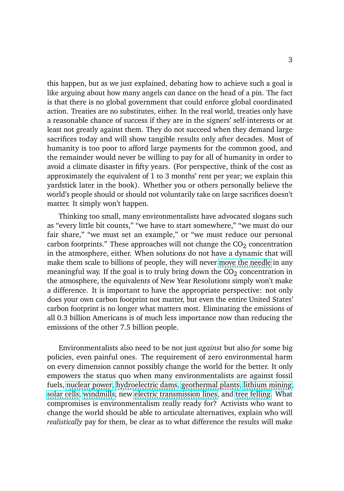this happen, but as we just explained, debating how to achieve such a goal is like arguing about how many angels can dance on the head of a pin. The fact is that there is no global government that could enforce global coordinated action. Treaties are no substitutes, either. In the real world, treaties only have a reasonable chance of success if they are in the signers' self-interests or at least not greatly against them. They do not succeed when they demand large sacrifices today and will show tangible results only after decades. Most of humanity is too poor to afford large payments for the common good, and the remainder would never be willing to pay for all of humanity in order to avoid a climate disaster in fifty years. (For perspective, think of the cost as approximately the equivalent of 1 to 3 months' rent per year; we explain this yardstick later in the book). Whether you or others personally believe the world's people should or should not voluntarily take on large sacrifices doesn't matter. It simply won't happen.

Thinking too small, many environmentalists have advocated slogans such as "every little bit counts," "we have to start somewhere," "we must do our fair share," "we must set an example," or "we must reduce our personal carbon footprints." These approaches will not change the  $CO<sub>2</sub>$  concentration in the atmosphere, either. When solutions do not have a dynamic that will make them scale to billions of people, they will never [move the needle](https://en.wiktionary.org/wiki/move_the_needle) in any meaningful way. If the goal is to truly bring down the  $CO<sub>2</sub>$  concentration in the atmosphere, the equivalents of New Year Resolutions simply won't make a difference. It is important to have the appropriate perspective: not only does your own carbon footprint not matter, but even the entire United States' carbon footprint is no longer what matters most. Eliminating the emissions of all 0.3 billion Americans is of much less importance now than reducing the emissions of the other 7.5 billion people.

Environmentalists also need to be not just *against* but also *for* some big policies, even painful ones. The requirement of zero environmental harm on every dimension cannot possibly change the world for the better. It only empowers the status quo when many environmentalists are against fossil fuels, [nuclear power,](https://www.nytimes.com/2018/04/18/climate/climate-fwd-green-nuclear.html) [hydroelectric dams,](https://www.nytimes.com/2020/10/13/climate/environmentalists-hydropower-dams.html) [geothermal plants,](https://www.usnews.com/news/best-states/nevada/articles/2021-12-31/lawsuit-seeks-to-block-2-geothermal-power-plants-in-nevada) [lithium mining,](https://www.reuters.com/business/environment/exclusive-lithium-americas-delays-nevada-mine-work-after-environmentalist-2021-06-11/) [solar cells,](https://finance-commerce.com/2021/11/solar-farms-face-local-resistance/) [windmills,](https://www.cleanenergywire.org/news/media-environmentalists-oppose-environmentalists-wind-power) new [electric transmission lines,](https://www.wsj.com/articles/maine-voters-reject-950-million-power-line-for-hydro-imports-11635944404) and [tree felling.](https://en.wikipedia.org/wiki/Tree_sitting) What compromises is environmentalism really ready for? Activists who want to change the world should be able to articulate alternatives, explain who will *realistically* pay for them, be clear as to what difference the results will make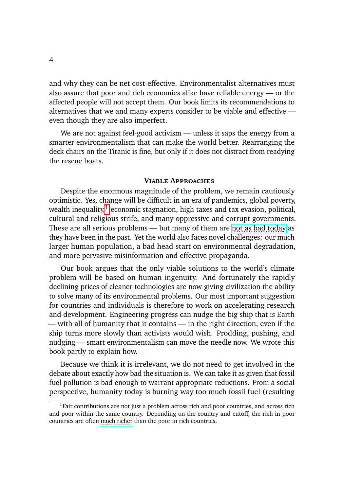and why they can be net cost-effective. Environmentalist alternatives must also assure that poor and rich economies alike have reliable energy — or the affected people will not accept them. Our book limits its recommendations to alternatives that we and many experts consider to be viable and effective even though they are also imperfect.

We are not against feel-good activism — unless it saps the energy from a smarter environmentalism that can make the world better. Rearranging the deck chairs on the Titanic is fine, but only if it does not distract from readying the rescue boats.

#### **Viable Approaches**

Despite the enormous magnitude of the problem, we remain cautiously optimistic. Yes, change will be difficult in an era of pandemics, global poverty, wealth inequality, $1$  economic stagnation, high taxes and tax evasion, political, cultural and religious strife, and many oppressive and corrupt governments. These are all serious problems  $-$  but many of them are [not as bad today](https://towardsdatascience.com/has-global-violence-declined-a-look-at-the-data-5af708f47fba) as they have been in the past. Yet the world also faces novel challenges: our much larger human population, a bad head-start on environmental degradation, and more pervasive misinformation and effective propaganda.

Our book argues that the only viable solutions to the world's climate problem will be based on human ingenuity. And fortunately the rapidly declining prices of cleaner technologies are now giving civilization the ability to solve many of its environmental problems. Our most important suggestion for countries and individuals is therefore to work on accelerating research and development. Engineering progress can nudge the big ship that is Earth — with all of humanity that it contains — in the right direction, even if the ship turns more slowly than activists would wish. Prodding, pushing, and nudging — smart environmentalism can move the needle now. We wrote this book partly to explain how.

Because we think it is irrelevant, we do not need to get involved in the debate about exactly how bad the situation is. We can take it as given that fossil fuel pollution is bad enough to warrant appropriate reductions. From a social perspective, humanity today is burning way too much fossil fuel (resulting

<sup>&</sup>lt;sup>1</sup>Fair contributions are not just a problem across rich and poor countries, and across rich and poor within the same country. Depending on the country and cutoff, the rich in poor countries are often [much richer](https://www.youtube.com/watch?v=jbkSRLYSojo) than the poor in rich countries.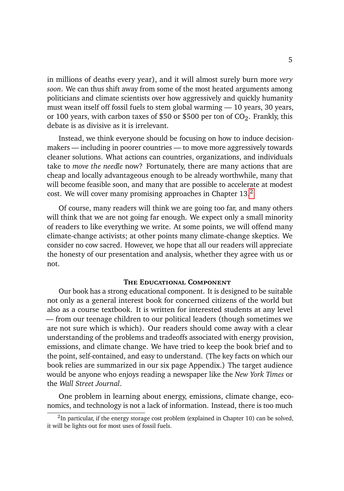in millions of deaths every year), and it will almost surely burn more *very soon*. We can thus shift away from some of the most heated arguments among politicians and climate scientists over how aggressively and quickly humanity must wean itself off fossil fuels to stem global warming — 10 years, 30 years, or 100 years, with carbon taxes of \$50 or \$500 per ton of  $CO_2$ . Frankly, this debate is as divisive as it is irrelevant.

Instead, we think everyone should be focusing on how to induce decisionmakers — including in poorer countries — to move more aggressively towards cleaner solutions. What actions can countries, organizations, and individuals take to *move the needle* now? Fortunately, there are many actions that are cheap and locally advantageous enough to be already worthwhile, many that will become feasible soon, and many that are possible to accelerate at modest cost. We will cover many promising approaches in Chapter  $13<sup>2</sup>$  $13<sup>2</sup>$  $13<sup>2</sup>$ 

Of course, many readers will think we are going too far, and many others will think that we are not going far enough. We expect only a small minority of readers to like everything we write. At some points, we will offend many climate-change activists; at other points many climate-change skeptics. We consider no cow sacred. However, we hope that all our readers will appreciate the honesty of our presentation and analysis, whether they agree with us or not.

### **The Educational Component**

Our book has a strong educational component. It is designed to be suitable not only as a general interest book for concerned citizens of the world but also as a course textbook. It is written for interested students at any level — from our teenage children to our political leaders (though sometimes we are not sure which is which). Our readers should come away with a clear understanding of the problems and tradeoffs associated with energy provision, emissions, and climate change. We have tried to keep the book brief and to the point, self-contained, and easy to understand. (The key facts on which our book relies are summarized in our six page Appendix.) The target audience would be anyone who enjoys reading a newspaper like the *New York Times* or the *Wall Street Journal*.

One problem in learning about energy, emissions, climate change, economics, and technology is not a lack of information. Instead, there is too much

 $2$ In particular, if the energy storage cost problem (explained in Chapter 10) can be solved, it will be lights out for most uses of fossil fuels.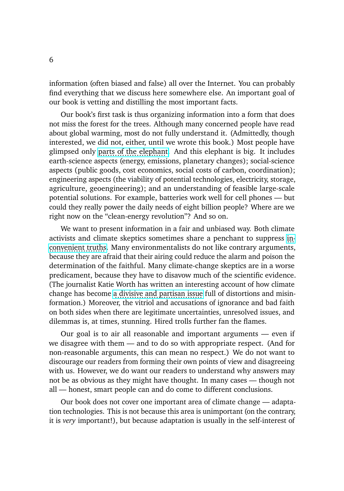information (often biased and false) all over the Internet. You can probably find everything that we discuss here somewhere else. An important goal of our book is vetting and distilling the most important facts.

Our book's first task is thus organizing information into a form that does not miss the forest for the trees. Although many concerned people have read about global warming, most do not fully understand it. (Admittedly, though interested, we did not, either, until we wrote this book.) Most people have glimpsed only [parts of the elephant.](https://en.wikipedia.org/wiki/Blind_men_and_an_elephant) And this elephant is big. It includes earth-science aspects (energy, emissions, planetary changes); social-science aspects (public goods, cost economics, social costs of carbon, coordination); engineering aspects (the viability of potential technologies, electricity, storage, agriculture, geoengineering); and an understanding of feasible large-scale potential solutions. For example, batteries work well for cell phones — but could they really power the daily needs of eight billion people? Where are we right now on the "clean-energy revolution"? And so on.

We want to present information in a fair and unbiased way. Both climate activists and climate skeptics sometimes share a penchant to suppress [in](https://en.wikipedia.org/wiki/An_Inconvenient_Truth) [convenient truths.](https://en.wikipedia.org/wiki/An_Inconvenient_Truth) Many environmentalists do not like contrary arguments, because they are afraid that their airing could reduce the alarm and poison the determination of the faithful. Many climate-change skeptics are in a worse predicament, because they have to disavow much of the scientific evidence. (The journalist Katie Worth has written an interesting account of how climate change has become [a divisive and partisan issue](https://www.amazon.com/dp/B094G2HBBY) full of distortions and misinformation.) Moreover, the vitriol and accusations of ignorance and bad faith on both sides when there are legitimate uncertainties, unresolved issues, and dilemmas is, at times, stunning. Hired trolls further fan the flames.

Our goal is to air all reasonable and important arguments — even if we disagree with them — and to do so with appropriate respect. (And for non-reasonable arguments, this can mean no respect.) We do not want to discourage our readers from forming their own points of view and disagreeing with us. However, we do want our readers to understand why answers may not be as obvious as they might have thought. In many cases — though not all — honest, smart people can and do come to different conclusions.

Our book does not cover one important area of climate change — adaptation technologies. This is not because this area is unimportant (on the contrary, it is *very* important!), but because adaptation is usually in the self-interest of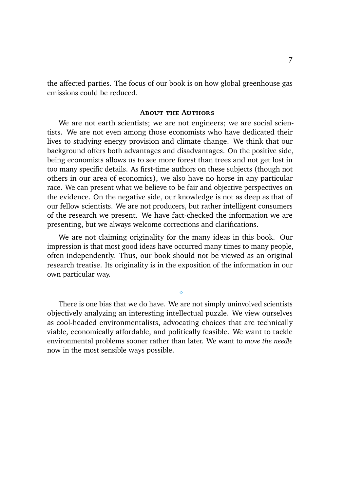the affected parties. The focus of our book is on how global greenhouse gas emissions could be reduced.

#### **About the Authors**

We are not earth scientists; we are not engineers; we are social scientists. We are not even among those economists who have dedicated their lives to studying energy provision and climate change. We think that our background offers both advantages and disadvantages. On the positive side, being economists allows us to see more forest than trees and not get lost in too many specific details. As first-time authors on these subjects (though not others in our area of economics), we also have no horse in any particular race. We can present what we believe to be fair and objective perspectives on the evidence. On the negative side, our knowledge is not as deep as that of our fellow scientists. We are not producers, but rather intelligent consumers of the research we present. We have fact-checked the information we are presenting, but we always welcome corrections and clarifications.

We are not claiming originality for the many ideas in this book. Our impression is that most good ideas have occurred many times to many people, often independently. Thus, our book should not be viewed as an original research treatise. Its originality is in the exposition of the information in our own particular way.

⋄

There is one bias that we do have. We are not simply uninvolved scientists objectively analyzing an interesting intellectual puzzle. We view ourselves as cool-headed environmentalists, advocating choices that are technically viable, economically affordable, and politically feasible. We want to tackle environmental problems sooner rather than later. We want to *move the needle* now in the most sensible ways possible.